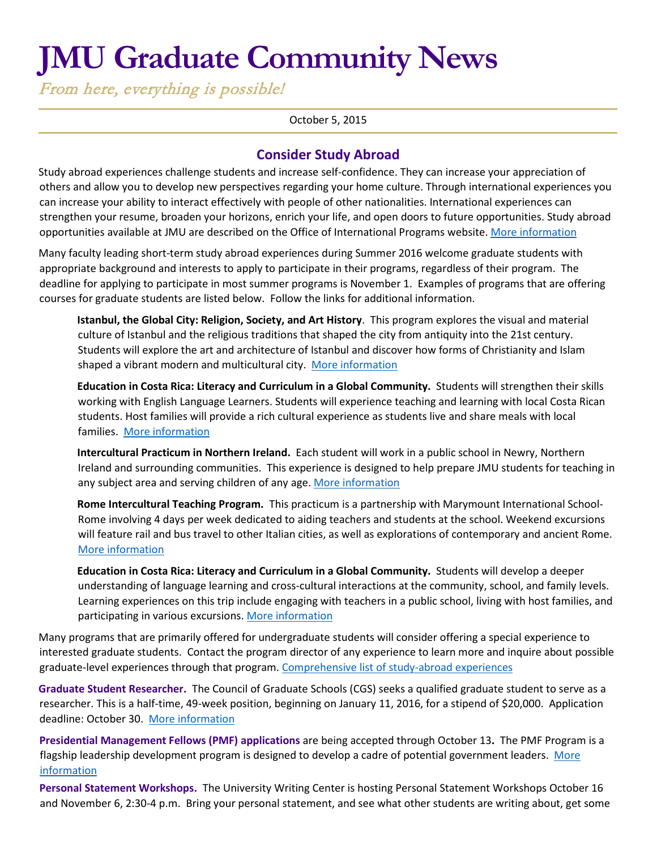# **JMU Graduate Community News**

From here, everything is possible!

#### October 5, 2015

## **Consider Study Abroad**

Study abroad experiences challenge students and increase self-confidence. They can increase your appreciation of others and allow you to develop new perspectives regarding your home culture. Through international experiences you can increase your ability to interact effectively with people of other nationalities. International experiences can strengthen your resume, broaden your horizons, enrich your life, and open doors to future opportunities. Study abroad opportunities available at JMU are described on the Office of International Programs website[. More information](http://www.jmu.edu/international/abroad/all-programs/index.shtml)

Many faculty leading short-term study abroad experiences during Summer 2016 welcome graduate students with appropriate background and interests to apply to participate in their programs, regardless of their program. The deadline for applying to participate in most summer programs is November 1. Examples of programs that are offering courses for graduate students are listed below. Follow the links for additional information.

**Istanbul, the Global City: Religion, Society, and Art History**. This program explores the visual and material culture of Istanbul and the religious traditions that shaped the city from antiquity into the 21st century. Students will explore the art and architecture of Istanbul and discover how forms of Christianity and Islam shaped a vibrant modern and multicultural city. [More information](http://www.jmu.edu/international/abroad/programs/jmu-turkey-istanbul-art.shtml)

**Education in Costa Rica: Literacy and Curriculum in a Global Community.** Students will strengthen their skills working with English Language Learners. Students will experience teaching and learning with local Costa Rican students. Host families will provide a rich cultural experience as students live and share meals with local families. [More information](http://www.jmu.edu/international/abroad/programs/jmu-costa-rica-education.shtml)

**Intercultural Practicum in Northern Ireland.** Each student will work in a public school in Newry, Northern Ireland and surrounding communities. This experience is designed to help prepare JMU students for teaching in any subject area and serving children of any age[. More information](http://www.jmu.edu/international/abroad/programs/jmu-ireland-practicum.shtml)

**Rome Intercultural Teaching Program.** This practicum is a partnership with Marymount International School-Rome involving 4 days per week dedicated to aiding teachers and students at the school. Weekend excursions will feature rail and bus travel to other Italian cities, as well as explorations of contemporary and ancient Rome. [More information](http://www.jmu.edu/international/abroad/programs/jmu-italy-rome-practicum.shtml)

**Education in Costa Rica: Literacy and Curriculum in a Global Community.** Students will develop a deeper understanding of language learning and cross-cultural interactions at the community, school, and family levels. Learning experiences on this trip include engaging with teachers in a public school, living with host families, and participating in various excursions. [More information](http://www.jmu.edu/international/abroad/programs/jmu-costa-rica-education.shtml)

Many programs that are primarily offered for undergraduate students will consider offering a special experience to interested graduate students. Contact the program director of any experience to learn more and inquire about possible graduate-level experiences through that program. [Comprehensive list of study-abroad experiences](http://www.jmu.edu/international/abroad/all-programs/search.shtml)

**Graduate Student Researcher.** The Council of Graduate Schools (CGS) seeks a qualified graduate student to serve as a researcher. This is a half-time, 49-week position, beginning on January 11, 2016, for a stipend of \$20,000. Application deadline: October 30. [More information](http://careers.cgsnet.org/jobs/7558472/graduate-student-researcher/)

**Presidential Management Fellows (PMF) applications** are being accepted through October 13**.** The PMF Program is a flagship leadership development program is designed to develop a cadre of potential government leaders. More [information](http://www.pmf.gov/)

**Personal Statement Workshops.** The University Writing Center is hosting Personal Statement Workshops October 16 and November 6, 2:30-4 p.m. Bring your personal statement, and see what other students are writing about, get some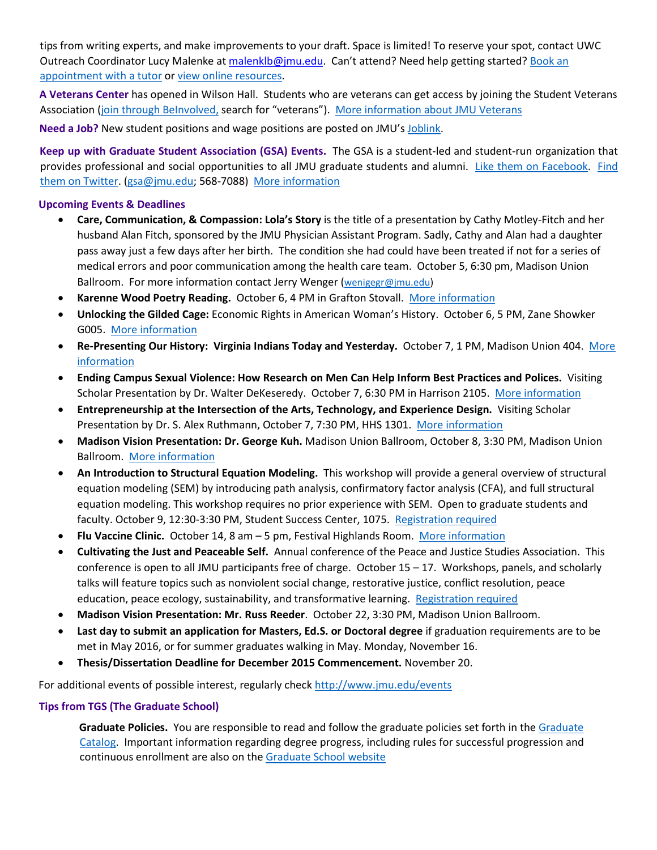tips from writing experts, and make improvements to your draft. Space is limited! To reserve your spot, contact UWC Outreach Coordinator Lucy Malenke [at malenklb@jmu.edu.](https://exchange.jmu.edu/owa/redir.aspx?SURL=CQ_u9lbvNE5YwrXMT4mNkFPB2qp2bDfx5G9EV4hiveQTY81QTcTSCG0AYQBpAGwAdABvADoAbQBhAGwAZQBuAGsAbABiAEAAagBtAHUALgBlAGQAdQA.&URL=mailto%3amalenklb%40jmu.edu) Can't attend? Need help getting started? Book an [appointment with a](http://www.jmu.edu/uwc/) tutor o[r view online resources.](http://www.jmu.edu/uwc/link-library/index.shtml)

**A Veterans Center** has opened in Wilson Hall. Students who are veterans can get access by joining the Student Veterans Association [\(join through BeInvolved,](https://beinvolved.jmu.edu/) search for "veterans"). [More information about JMU Veterans](http://www.jmu.edu/veterans/index.shtml)

**Need a Job?** New student positions and wage positions are posted on JMU's [Joblink.](http://joblink.jmu.edu/) 

**Keep up with Graduate Student Association (GSA) Events.** The GSA is a student-led and student-run organization that provides professional and social opportunities to all JMU graduate students and alumni. [Like them on Facebook.](https://www.facebook.com/JMUGSA?fref=ts) [Find](https://twitter.com/JMUGSA) [them on Twitter. \(](https://twitter.com/JMUGSA)gsa@jmu.edu; 568-7088[\) More information](http://www.jmu.edu/grad/gsa/index.shtml) 

### **Upcoming Events & Deadlines**

- **Care, Communication, & Compassion: Lola's Story** is the title of a presentation by Cathy Motley-Fitch and her husband Alan Fitch, sponsored by the JMU Physician Assistant Program. Sadly, Cathy and Alan had a daughter pass away just a few days after her birth. The condition she had could have been treated if not for a series of medical errors and poor communication among the health care team. October 5, 6:30 pm, Madison Union Ballroom. For more information contact Jerry Wenger [\(wenigegr@jmu.edu\)](mailto:wenigegr@jmu.edu)
- **Karenne Wood Poetry Reading.** October 6, 4 PM in Grafton Stovall. [More information](http://www.jmu.edu/events/furiousflower/2015/10/06-karenne-wood.shtml)
- **Unlocking the Gilded Cage:** Economic Rights in American Woman's History. October 6, 5 PM, Zane Showker G005. [More information](http://www.jmu.edu/events/cob/2015/10/06-gilliam-center-speaker-jayme-lemke.shtml)
- **Re-Presenting Our History: Virginia Indians Today and Yesterday.** October 7, 1 PM, Madison Union 404. [More](http://www.jmu.edu/events/americanstudies/2015/10/07-karenne-public-presentation.shtml)  [information](http://www.jmu.edu/events/americanstudies/2015/10/07-karenne-public-presentation.shtml)
- **Ending Campus Sexual Violence: How Research on Men Can Help Inform Best Practices and Polices.** Visiting Scholar Presentation by Dr. Walter DeKeseredy. October 7, 6:30 PM in Harrison 2105. [More information](http://www.jmu.edu/events/womenstudies/2015/10/07-visiting-scholar-walter.shtml)
- **Entrepreneurship at the Intersection of the Arts, Technology, and Experience Design.** Visiting Scholar Presentation by Dr. S. Alex Ruthmann, October 7, 7:30 PM, HHS 1301. [More information](http://www.jmu.edu/events/cal/2015/10/07-event-visiting-scholar1.shtml)
- **Madison Vision Presentation: Dr. George Kuh.** Madison Union Ballroom, October 8, 3:30 PM, Madison Union Ballroom. [More information](http://www.jmu.edu/events/president/2015/10/MVS-Kuh.shtml)
- **An Introduction to Structural Equation Modeling.** This workshop will provide a general overview of structural equation modeling (SEM) by introducing path analysis, confirmatory factor analysis (CFA), and full structural equation modeling. This workshop requires no prior experience with SEM. Open to graduate students and faculty. October 9, 12:30-3:30 PM, Student Success Center, 1075. [Registration required](http://www.jmu.edu/events/cfi/2015/10/09-an_introduction_to_structural_equation_modeling.shtml)
- **Flu Vaccine Clinic.** October 14, 8 am 5 pm, Festival Highlands Room. [More information](http://www.jmu.edu/events/healthcenter/2015/10/14-jmufluclinic.shtml)
- **Cultivating the Just and Peaceable Self.** Annual conference of the Peace and Justice Studies Association. This conference is open to all JMU participants free of charge. October 15 – 17. Workshops, panels, and scholarly talks will feature topics such as nonviolent social change, restorative justice, conflict resolution, peace education, peace ecology, sustainability, and transformative learning. [Registration required](http://www.jmu.edu/events/mc/2015/10/15-17-peace-and-justice-studies-association-annual-conference.shtml)
- **Madison Vision Presentation: Mr. Russ Reeder**. October 22, 3:30 PM, Madison Union Ballroom.
- **Last day to submit an application for Masters, Ed.S. or Doctoral degree** if graduation requirements are to be met in May 2016, or for summer graduates walking in May. Monday, November 16.
- **Thesis/Dissertation Deadline for December 2015 Commencement.** November 20.

For additional events of possible interest, regularly check<http://www.jmu.edu/events>

#### **Tips from TGS (The Graduate School)**

**Graduate Policies.** You are responsible to read and follow the graduate policies set forth in the [Graduate](http://jmu.edu/catalog) [Catalog.](http://jmu.edu/catalog) Important information regarding degree progress, including rules for successful progression and continuous enrollment are also on the [Graduate School website](http://www.jmu.edu/grad/current-students/degree-progress/beginning.shtml)